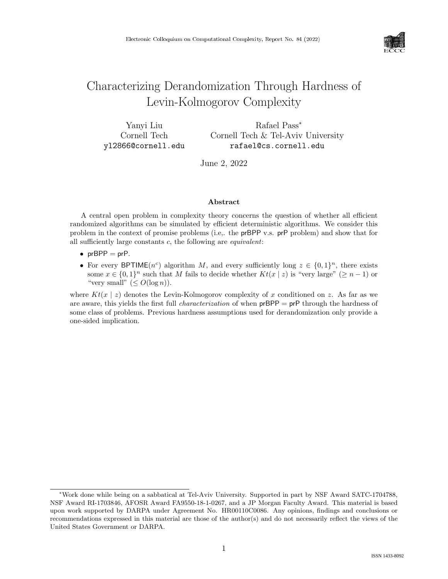

# Characterizing Derandomization Through Hardness of Levin-Kolmogorov Complexity

Yanyi Liu Cornell Tech yl2866@cornell.edu

Rafael Pass<sup>∗</sup> Cornell Tech & Tel-Aviv University rafael@cs.cornell.edu

June 2, 2022

#### Abstract

A central open problem in complexity theory concerns the question of whether all efficient randomized algorithms can be simulated by efficient deterministic algorithms. We consider this problem in the context of promise problems (i.e,. the prBPP v.s. prP problem) and show that for all sufficiently large constants  $c$ , the following are *equivalent*:

- $prBPP = prP$ .
- For every BPTIME( $n^c$ ) algorithm M, and every sufficiently long  $z \in \{0,1\}^n$ , there exists some  $x \in \{0,1\}^n$  such that M fails to decide whether  $Kt(x \mid z)$  is "very large" ( $\geq n-1$ ) or "very small"  $( $O(\log n)$ ).$

where  $Kt(x \mid z)$  denotes the Levin-Kolmogorov complexity of x conditioned on z. As far as we are aware, this yields the first full *characterization* of when  $prBPP = prP$  through the hardness of some class of problems. Previous hardness assumptions used for derandomization only provide a one-sided implication.

<sup>∗</sup>Work done while being on a sabbatical at Tel-Aviv University. Supported in part by NSF Award SATC-1704788, NSF Award RI-1703846, AFOSR Award FA9550-18-1-0267, and a JP Morgan Faculty Award. This material is based upon work supported by DARPA under Agreement No. HR00110C0086. Any opinions, findings and conclusions or recommendations expressed in this material are those of the author(s) and do not necessarily reflect the views of the United States Government or DARPA.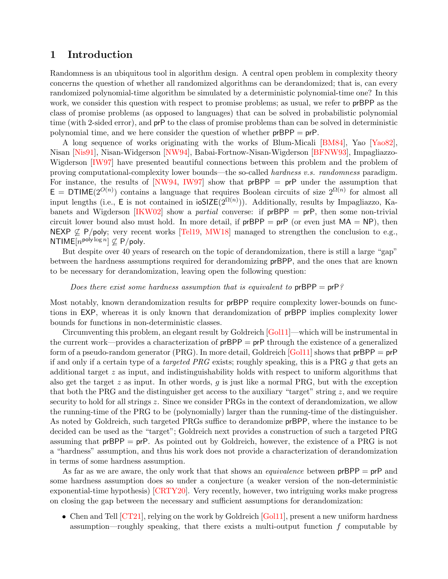# 1 Introduction

Randomness is an ubiquitous tool in algorithm design. A central open problem in complexity theory concerns the question of whether all randomized algorithms can be derandomized; that is, can every randomized polynomial-time algorithm be simulated by a deterministic polynomial-time one? In this work, we consider this question with respect to promise problems; as usual, we refer to **prBPP** as the class of promise problems (as opposed to languages) that can be solved in probabilistic polynomial time (with 2-sided error), and prP to the class of promise problems than can be solved in deterministic polynomial time, and we here consider the question of whether prBPP = prP.

A long sequence of works originating with the works of Blum-Micali [\[BM84\]](#page-15-0), Yao [\[Yao82\]](#page-17-0), Nisan [\[Nis91\]](#page-16-0), Nisan-Widgerson [\[NW94\]](#page-17-1), Babai-Fortnow-Nisan-Wigderson [\[BFNW93\]](#page-15-1), Impagliazzo-Wigderson [\[IW97\]](#page-16-1) have presented beautiful connections between this problem and the problem of proving computational-complexity lower bounds—the so-called hardness v.s. randomness paradigm. For instance, the results of  $\text{[NW94, IW97]}$  $\text{[NW94, IW97]}$  $\text{[NW94, IW97]}$  $\text{[NW94, IW97]}$  $\text{[NW94, IW97]}$  show that  $\text{prBPP} = \text{prP}$  under the assumption that  $\mathsf{E} = \mathsf{DTIME}(2^{O(n)})$  contains a language that requires Boolean circuits of size  $2^{\Omega(n)}$  for almost all input lengths (i.e., E is not contained in  $i \in \text{SIZE}(2^{\Omega(n)}))$ . Additionally, results by Impagliazzo, Kabanets and Wigderson  $[IKW02]$  show a *partial* converse: if  $prBPP = prP$ , then some non-trivial circuit lower bound also must hold. In more detail, if  $prBPP = prP$  (or even just  $MA = NP$ ), then NEXP  $\&$  P/poly; very recent works [\[Tel19,](#page-17-2) [MW18\]](#page-16-3) managed to strengthen the conclusion to e.g., NTIME $[n^{\mathsf{poly}\log n}] \nsubseteq \mathsf{P/poly}.$ 

But despite over 40 years of research on the topic of derandomization, there is still a large "gap" between the hardness assumptions required for derandomizing prBPP, and the ones that are known to be necessary for derandomization, leaving open the following question:

#### Does there exist some hardness assumption that is equivalent to  $\text{prBPP} = \text{prP}$ ?

Most notably, known derandomization results for prBPP require complexity lower-bounds on functions in EXP, whereas it is only known that derandomization of prBPP implies complexity lower bounds for functions in non-deterministic classes.

Circumventing this problem, an elegant result by Goldreich [\[Gol11\]](#page-16-4)—which will be instrumental in the current work—provides a characterization of prBPP = prP through the existence of a generalized form of a pseudo-random generator (PRG). In more detail, Goldreich [\[Gol11\]](#page-16-4) shows that  $\mathsf{prBPP} = \mathsf{prP}$ if and only if a certain type of a *targeted PRG* exists; roughly speaking, this is a PRG g that gets an additional target z as input, and indistinguishability holds with respect to uniform algorithms that also get the target  $z$  as input. In other words,  $g$  is just like a normal PRG, but with the exception that both the PRG and the distinguisher get access to the auxiliary "target" string  $z$ , and we require security to hold for all strings z. Since we consider PRGs in the context of derandomization, we allow the running-time of the PRG to be (polynomially) larger than the running-time of the distinguisher. As noted by Goldreich, such targeted PRGs suffice to derandomize prBPP, where the instance to be decided can be used as the "target"; Goldreich next provides a construction of such a targeted PRG assuming that prBPP = prP. As pointed out by Goldreich, however, the existence of a PRG is not a "hardness" assumption, and thus his work does not provide a characterization of derandomization in terms of some hardness assumption.

As far as we are aware, the only work that that shows an *equivalence* between  $\text{prBPP} = \text{prP}$  and some hardness assumption does so under a conjecture (a weaker version of the non-deterministic exponential-time hypothesis) [\[CRTY20\]](#page-16-5). Very recently, however, two intriguing works make progress on closing the gap between the necessary and sufficient assumptions for derandomization:

• Chen and Tell  $\left[ \text{CT21}\right]$ , relying on the work by Goldreich  $\left[ \text{Gold}(1)\right]$ , present a new uniform hardness assumption—roughly speaking, that there exists a multi-output function  $f$  computable by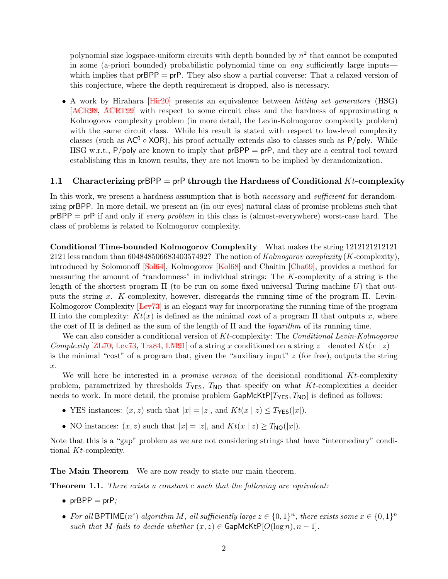polynomial size logspace-uniform circuits with depth bounded by  $n^2$  that cannot be computed in some (a-priori bounded) probabilistic polynomial time on any sufficiently large inputs which implies that  $prBPP = prP$ . They also show a partial converse: That a relaxed version of this conjecture, where the depth requirement is dropped, also is necessary.

• A work by Hirahara [\[Hir20\]](#page-16-7) presents an equivalence between *hitting set generators* (HSG) [\[ACR98,](#page-15-2) [ACRT99\]](#page-15-3) with respect to some circuit class and the hardness of approximating a Kolmogorov complexity problem (in more detail, the Levin-Kolmogorov complexity problem) with the same circuit class. While his result is stated with respect to low-level complexity classes (such as  $AC^0 \circ XOR$ ), his proof actually extends also to classes such as P/poly. While HSG w.r.t.,  $P/poly$  are known to imply that  $prBPP = prP$ , and they are a central tool toward establishing this in known results, they are not known to be implied by derandomization.

### 1.1 Characterizing prBPP = prP through the Hardness of Conditional  $Kt$ -complexity

In this work, we present a hardness assumption that is both *necessary* and *sufficient* for derandomizing prBPP. In more detail, we present an (in our eyes) natural class of promise problems such that  $p$ rBPP =  $p$ rP if and only if *every problem* in this class is (almost-everywhere) worst-case hard. The class of problems is related to Kolmogorov complexity.

Conditional Time-bounded Kolmogorov Complexity What makes the string 1212121212121 2121 less random than 60484850668340357492? The notion of  $Kolmogorov$  complexity (K-complexity), introduced by Solomonoff [\[Sol64\]](#page-17-3), Kolmogorov [\[Kol68\]](#page-16-8) and Chaitin [\[Cha69\]](#page-16-9), provides a method for measuring the amount of "randomness" in individual strings: The K-complexity of a string is the length of the shortest program  $\Pi$  (to be run on some fixed universal Turing machine U) that outputs the string x. K-complexity, however, disregards the running time of the program  $\Pi$ . Levin-Kolmogorov Complexity [\[Lev73\]](#page-16-10) is an elegant way for incorporating the running time of the program  $\Pi$  into the complexity:  $Kt(x)$  is defined as the minimal cost of a program  $\Pi$  that outputs x, where the cost of  $\Pi$  is defined as the sum of the length of  $\Pi$  and the *logarithm* of its running time.

We can also consider a conditional version of  $Kt$ -complexity: The *Conditional Levin-Kolmogorov* Complexity [\[ZL70,](#page-17-4) [Lev73,](#page-16-10) [Tra84,](#page-17-5) [LM91\]](#page-16-11) of a string x conditioned on a string z—denoted  $Kt(x | z)$  is the minimal "cost" of a program that, given the "auxiliary input"  $z$  (for free), outputs the string x.

We will here be interested in a *promise version* of the decisional conditional  $Kt$ -complexity problem, parametrized by thresholds  $T_{\text{YES}}$ ,  $T_{\text{NO}}$  that specify on what Kt-complexities a decider needs to work. In more detail, the promise problem  $\text{GapMcKtP}[T_{\text{YES}}, T_{\text{NO}}]$  is defined as follows:

- YES instances:  $(x, z)$  such that  $|x| = |z|$ , and  $Kt(x | z) \leq T_{\text{YES}}(|x|)$ .
- NO instances:  $(x, z)$  such that  $|x| = |z|$ , and  $Kt(x | z) \geq T_{\text{NO}}(|x|)$ .

Note that this is a "gap" problem as we are not considering strings that have "intermediary" conditional Kt-complexity.

The Main Theorem We are now ready to state our main theorem.

<span id="page-2-0"></span>**Theorem 1.1.** There exists a constant c such that the following are equivalent:

- pr $BPP = prP$ ;
- For all BPTIME( $n^c$ ) algorithm M, all sufficiently large  $z \in \{0,1\}^n$ , there exists some  $x \in \{0,1\}^n$ such that M fails to decide whether  $(x, z) \in \text{GapMcKtP}[O(\log n), n-1]$ .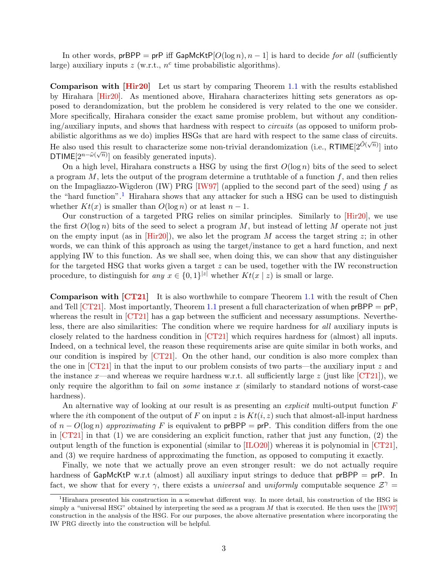In other words, prBPP = prP iff  $\text{GapMcKtP}[O(\log n), n - 1]$  is hard to decide for all (sufficiently large) auxiliary inputs  $z$  (w.r.t.,  $n^c$  time probabilistic algorithms).

Comparison with [\[Hir20\]](#page-16-7) Let us start by comparing Theorem [1.1](#page-2-0) with the results established by Hirahara [\[Hir20\]](#page-16-7). As mentioned above, Hirahara characterizes hitting sets generators as opposed to derandomization, but the problem he considered is very related to the one we consider. More specifically, Hirahara consider the exact same promise problem, but without any conditioning/auxiliary inputs, and shows that hardness with respect to circuits (as opposed to uniform probabilistic algorithms as we do) implies HSGs that are hard with respect to the same class of circuits. He also used this result to characterize some non-trivial derandomization (i.e.,  $\text{RTIME}[2^{\tilde{O}(\sqrt{n})}]$  into DTIME $[2^{n-\tilde{\omega}(\sqrt{n})}]$  on feasibly generated inputs).

On a high level, Hirahara constructs a HSG by using the first  $O(\log n)$  bits of the seed to select a program  $M$ , lets the output of the program determine a truthtable of a function  $f$ , and then relies on the Impagliazzo-Wigderon (IW) PRG  $[IW97]$  (applied to the second part of the seed) using f as the "hard function".<sup>[1](#page-3-0)</sup> Hirahara shows that any attacker for such a HSG can be used to distinguish whether  $Kt(x)$  is smaller than  $O(\log n)$  or at least  $n-1$ .

Our construction of a targeted PRG relies on similar principles. Similarly to [\[Hir20\]](#page-16-7), we use the first  $O(\log n)$  bits of the seed to select a program M, but instead of letting M operate not just on the empty input (as in  $[Hir20]$ ), we also let the program M access the target string z; in other words, we can think of this approach as using the target/instance to get a hard function, and next applying IW to this function. As we shall see, when doing this, we can show that any distinguisher for the targeted HSG that works given a target  $z$  can be used, together with the IW reconstruction procedure, to distinguish for any  $x \in \{0,1\}^{|z|}$  whether  $Kt(x | z)$  is small or large.

Comparison with [\[CT21\]](#page-16-6) It is also worthwhile to compare Theorem [1.1](#page-2-0) with the result of Chen and Tell [\[CT21\]](#page-16-6). Most importantly, Theorem [1.1](#page-2-0) present a full characterization of when  $\text{prBPP} = \text{prP}$ , whereas the result in  $\left[CT21\right]$  has a gap between the sufficient and necessary assumptions. Nevertheless, there are also similarities: The condition where we require hardness for all auxiliary inputs is closely related to the hardness condition in [\[CT21\]](#page-16-6) which requires hardness for (almost) all inputs. Indeed, on a technical level, the reason these requirements arise are quite similar in both works, and our condition is inspired by  $\left[CT21\right]$ . On the other hand, our condition is also more complex than the one in  $[CT21]$  in that the input to our problem consists of two parts—the auxiliary input z and the instance x—and whereas we require hardness w.r.t. all sufficiently large z (just like [\[CT21\]](#page-16-6)), we only require the algorithm to fail on *some* instance  $x$  (similarly to standard notions of worst-case hardness).

An alternative way of looking at our result is as presenting an *explicit* multi-output function  $F$ where the *i*th component of the output of F on input z is  $Kt(i, z)$  such that almost-all-input hardness of  $n - O(\log n)$  approximating F is equivalent to prBPP = prP. This condition differs from the one in  $[CT21]$  in that (1) we are considering an explicit function, rather that just any function, (2) the output length of the function is exponential (similar to  $[\text{ILO}20]$ ) whereas it is polynomial in  $[\text{CT}21]$ , and (3) we require hardness of approximating the function, as opposed to computing it exactly.

Finally, we note that we actually prove an even stronger result: we do not actually require hardness of  $GapMcktP$  w.r.t (almost) all auxiliary input strings to deduce that  $prBPP = prP$ . In fact, we show that for every  $\gamma$ , there exists a *universal* and *uniformly* computable sequence  $Z^{\gamma}$  =

<span id="page-3-0"></span><sup>&</sup>lt;sup>1</sup>Hirahara presented his construction in a somewhat different way. In more detail, his construction of the HSG is simply a "universal HSG" obtained by interpreting the seed as a program  $M$  that is executed. He then uses the [\[IW97\]](#page-16-1) construction in the analysis of the HSG. For our purposes, the above alternative presentation where incorporating the IW PRG directly into the construction will be helpful.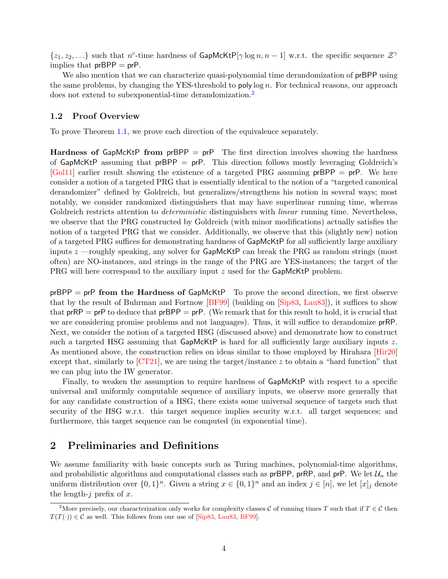$\{z_1, z_2, ...\}$  such that n<sup>c</sup>-time hardness of GapMcKtP[ $\gamma \log n, n-1$ ] w.r.t. the specific sequence  $\mathcal{Z}^{\gamma}$ implies that  $prBPP = prP$ .

We also mention that we can characterize quasi-polynomial time derandomization of **prBPP** using the same problems, by changing the YES-threshold to **poly**  $\log n$ . For technical reasons, our approach does not extend to subexponential-time derandomization.[2](#page-4-0)

### 1.2 Proof Overview

To prove Theorem [1.1,](#page-2-0) we prove each direction of the equivalence separately.

**Hardness of GapMcKtP from prBPP = prP** The first direction involves showing the hardness of GapMcKtP assuming that  $prBPP = prP$ . This direction follows mostly leveraging Goldreich's  $[Gol11]$  earlier result showing the existence of a targeted PRG assuming  $prBPP = prP$ . We here consider a notion of a targeted PRG that is essentially identical to the notion of a "targeted canonical derandomizer" defined by Goldreich, but generalizes/strengthens his notion in several ways; most notably, we consider randomized distinguishers that may have superlinear running time, whereas Goldreich restricts attention to *deterministic* distinguishers with *linear* running time. Nevertheless, we observe that the PRG constructed by Goldreich (with minor modifications) actually satisfies the notion of a targeted PRG that we consider. Additionally, we observe that this (slightly new) notion of a targeted PRG suffices for demonstrating hardness of GapMcKtP for all sufficiently large auxiliary inputs  $z$  —roughly speaking, any solver for GapMcKtP can break the PRG as random strings (most often) are NO-instances, and strings in the range of the PRG are YES-instances; the target of the PRG will here correspond to the auxiliary input z used for the GapMcKtP problem.

 $p$ rBPP =  $p$ rP from the Hardness of GapMcKtP To prove the second direction, we first observe that by the result of Buhrman and Fortnow [\[BF99\]](#page-15-4) (building on [\[Sip83,](#page-17-6) [Lau83\]](#page-16-13)), it suffices to show that  $prRP = prP$  to deduce that  $prBPP = prP$ . (We remark that for this result to hold, it is crucial that we are considering promise problems and not languages). Thus, it will suffice to derandomize prRP. Next, we consider the notion of a targeted HSG (discussed above) and demonstrate how to construct such a targeted HSG assuming that  $GapMcKtP$  is hard for all sufficiently large auxiliary inputs z. As mentioned above, the construction relies on ideas similar to those employed by Hirahara [\[Hir20\]](#page-16-7) except that, similarly to  $\text{[CT21]}$  $\text{[CT21]}$  $\text{[CT21]}$ , we are using the target/instance z to obtain a "hard function" that we can plug into the IW generator.

Finally, to weaken the assumption to require hardness of GapMcKtP with respect to a specific universal and uniformly computable sequence of auxiliary inputs, we observe more generally that for any candidate construction of a HSG, there exists some universal sequence of targets such that security of the HSG w.r.t. this target sequence implies security w.r.t. all target sequences; and furthermore, this target sequence can be computed (in exponential time).

# 2 Preliminaries and Definitions

We assume familiarity with basic concepts such as Turing machines, polynomial-time algorithms, and probabilistic algorithms and computational classes such as prBPP, prRP, and prP. We let  $\mathcal{U}_n$  the uniform distribution over  $\{0,1\}^n$ . Given a string  $x \in \{0,1\}^n$  and an index  $j \in [n]$ , we let  $[x]_j$  denote the length- $j$  prefix of  $x$ .

<span id="page-4-0"></span><sup>&</sup>lt;sup>2</sup>More precisely, our characterization only works for complexity classes C of running times T such that if  $T \in \mathcal{C}$  then  $T(T(\cdot)) \in \mathcal{C}$  as well. This follows from our use of [\[Sip83,](#page-17-6) [Lau83,](#page-16-13) [BF99\]](#page-15-4).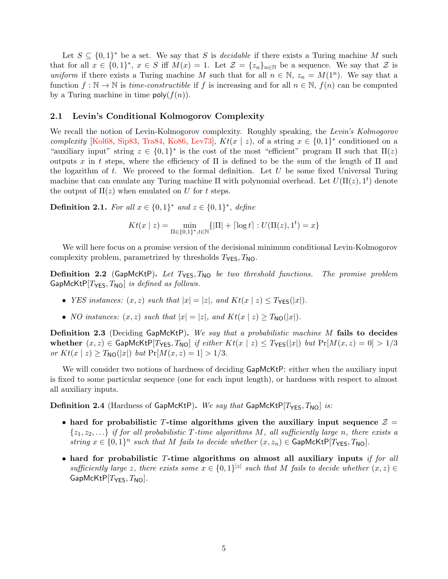Let  $S \subseteq \{0,1\}^*$  be a set. We say that S is *decidable* if there exists a Turing machine M such that for all  $x \in \{0,1\}^*, x \in S$  iff  $M(x) = 1$ . Let  $\mathcal{Z} = \{z_n\}_{n \in \mathbb{N}}$  be a sequence. We say that  $\mathcal{Z}$  is uniform if there exists a Turing machine M such that for all  $n \in \mathbb{N}$ ,  $z_n = M(1^n)$ . We say that a function  $f : \mathbb{N} \to \mathbb{N}$  is time-constructible if f is increasing and for all  $n \in \mathbb{N}$ ,  $f(n)$  can be computed by a Turing machine in time  $\mathsf{poly}(f(n))$ .

### 2.1 Levin's Conditional Kolmogorov Complexity

We recall the notion of Levin-Kolmogorov complexity. Roughly speaking, the Levin's Kolmogorov complexity [\[Kol68,](#page-16-8) [Sip83,](#page-17-6) [Tra84,](#page-17-5) [Ko86,](#page-16-14) [Lev73\]](#page-16-10),  $Kt(x | z)$ , of a string  $x \in \{0,1\}^*$  conditioned on a "auxiliary input" string  $z \in \{0,1\}^*$  is the cost of the most "efficient" program  $\Pi$  such that  $\Pi(z)$ outputs x in t steps, where the efficiency of  $\Pi$  is defined to be the sum of the length of  $\Pi$  and the logarithm of t. We proceed to the formal definition. Let  $U$  be some fixed Universal Turing machine that can emulate any Turing machine  $\Pi$  with polynomial overhead. Let  $U(\Pi(z), 1^t)$  denote the output of  $\Pi(z)$  when emulated on U for t steps.

**Definition 2.1.** For all  $x \in \{0, 1\}^*$  and  $z \in \{0, 1\}^*$ , define

$$
Kt(x \mid z) = \min_{\Pi \in \{0,1\}^*, t \in \mathbb{N}} \{ |\Pi| + \lceil \log t \rceil : U(\Pi(z), 1^t) = x \}
$$

We will here focus on a promise version of the decisional minimum conditional Levin-Kolmogorov complexity problem, parametrized by thresholds  $T_{\text{YES}}, T_{\text{NO}}$ .

**Definition 2.2** (GapMcKtP). Let  $T_{\text{YES}}, T_{\text{NO}}$  be two threshold functions. The promise problem GapMcKt $P[T_{\text{YES}}, T_{\text{NO}}]$  is defined as follows.

- YES instances:  $(x, z)$  such that  $|x| = |z|$ , and  $Kt(x | z) \leq T_{\text{YES}}(|x|)$ .
- NO instances:  $(x, z)$  such that  $|x| = |z|$ , and  $Kt(x | z) \geq T_{\text{NO}}(|x|)$ .

Definition 2.3 (Deciding GapMcKtP). We say that a probabilistic machine M fails to decides whether  $(x, z) \in \mathsf{GapMcKtP}[T_{\mathsf{YES}}, T_{\mathsf{NO}}]$  if either  $Kt(x \mid z) \leq T_{\mathsf{YES}}(|x|)$  but  $\Pr[M(x, z) = 0] > 1/3$ or  $Kt(x \mid z) \geq T_{\text{NO}}(|x|)$  but  $\Pr[M(x, z) = 1] > 1/3$ .

We will consider two notions of hardness of deciding GapMcKtP: either when the auxiliary input is fixed to some particular sequence (one for each input length), or hardness with respect to almost all auxiliary inputs.

**Definition 2.4** (Hardness of GapMcKtP). We say that GapMcKtP[ $T_{\text{YES}}, T_{\text{NO}}$ ] is:

- hard for probabilistic T-time algorithms given the auxiliary input sequence  $\mathcal{Z} =$  $\{z_1, z_2, \ldots\}$  if for all probabilistic T-time algorithms M, all sufficiently large n, there exists a string  $x \in \{0,1\}^n$  such that M fails to decide whether  $(x, z_n) \in \mathsf{GapMcKtP}[T_{\mathsf{YES}}, T_{\mathsf{NO}}].$
- $\bullet$  hard for probabilistic T-time algorithms on almost all auxiliary inputs if for all sufficiently large z, there exists some  $x \in \{0,1\}^{|z|}$  such that M fails to decide whether  $(x, z) \in$ GapMcKt $P[T_{\text{YES}}, T_{\text{NO}}]$ .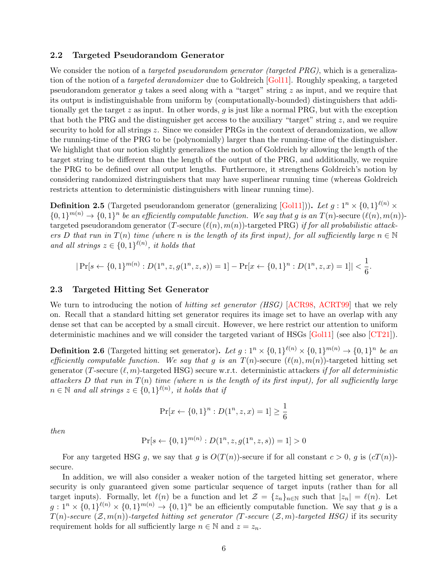#### 2.2 Targeted Pseudorandom Generator

We consider the notion of a *targeted pseudorandom generator (targeted PRG)*, which is a generalization of the notion of a targeted derandomizer due to Goldreich [\[Gol11\]](#page-16-4). Roughly speaking, a targeted pseudorandom generator g takes a seed along with a "target" string z as input, and we require that its output is indistinguishable from uniform by (computationally-bounded) distinguishers that additionally get the target  $z$  as input. In other words,  $g$  is just like a normal PRG, but with the exception that both the PRG and the distinguisher get access to the auxiliary "target" string  $z$ , and we require security to hold for all strings z. Since we consider PRGs in the context of derandomization, we allow the running-time of the PRG to be (polynomially) larger than the running-time of the distinguisher. We highlight that our notion slightly generalizes the notion of Goldreich by allowing the length of the target string to be different than the length of the output of the PRG, and additionally, we require the PRG to be defined over all output lengths. Furthermore, it strengthens Goldreich's notion by considering randomized distringuishers that may have superlinear running time (whereas Goldreich restricts attention to deterministic distinguishers with linear running time).

**Definition 2.5** (Targeted pseudorandom generator (generalizing  $[Gol11]$ )). Let  $g: 1^n \times \{0,1\}^{\ell(n)} \times$  $\{0,1\}^{m(n)} \to \{0,1\}^n$  be an efficiently computable function. We say that g is an  $T(n)$ -secure  $(\ell(n), m(n))$ targeted pseudorandom generator (T-secure  $(\ell(n), m(n))$ -targeted PRG) if for all probabilistic attackers D that run in  $T(n)$  time (where n is the length of its first input), for all sufficiently large  $n \in \mathbb{N}$ and all strings  $z \in \{0,1\}^{\ell(n)}$ , it holds that

$$
|\Pr[s \leftarrow \{0, 1\}^{m(n)} : D(1^n, z, g(1^n, z, s)) = 1] - \Pr[x \leftarrow \{0, 1\}^n : D(1^n, z, x) = 1]| < \frac{1}{6}.
$$

### 2.3 Targeted Hitting Set Generator

We turn to introducing the notion of *hitting set generator (HSG)* [\[ACR98,](#page-15-2) [ACRT99\]](#page-15-3) that we rely on. Recall that a standard hitting set generator requires its image set to have an overlap with any dense set that can be accepted by a small circuit. However, we here restrict our attention to uniform deterministic machines and we will consider the targeted variant of HSGs [\[Gol11\]](#page-16-4) (see also [\[CT21\]](#page-16-6)).

**Definition 2.6** (Targeted hitting set generator). Let  $g: 1^n \times \{0,1\}^{\ell(n)} \times \{0,1\}^{m(n)} \rightarrow \{0,1\}^n$  be an efficiently computable function. We say that g is an  $T(n)$ -secure  $(\ell(n), m(n))$ -targeted hitting set generator (T-secure  $(\ell, m)$ -targeted HSG) secure w.r.t. deterministic attackers if for all deterministic attackers D that run in  $T(n)$  time (where n is the length of its first input), for all sufficiently large  $n \in \mathbb{N}$  and all strings  $z \in \{0,1\}^{\ell(n)}$ , it holds that if

$$
\Pr[x \leftarrow \{0, 1\}^n : D(1^n, z, x) = 1] \ge \frac{1}{6}
$$

then

$$
\Pr[s \leftarrow \{0, 1\}^{m(n)} : D(1^n, z, g(1^n, z, s)) = 1] > 0
$$

For any targeted HSG g, we say that g is  $O(T(n))$ -secure if for all constant  $c > 0$ , g is  $(cT(n))$ secure.

In addition, we will also consider a weaker notion of the targeted hitting set generator, where security is only guaranteed given some particular sequence of target inputs (rather than for all target inputs). Formally, let  $\ell(n)$  be a function and let  $\mathcal{Z} = \{z_n\}_{n\in\mathbb{N}}$  such that  $|z_n| = \ell(n)$ . Let  $g: 1^n \times \{0,1\}^{\ell(n)} \times \{0,1\}^{m(n)} \to \{0,1\}^n$  be an efficiently computable function. We say that g is a  $T(n)$ -secure  $(\mathcal{Z}, m(n))$ -targeted hitting set generator (T-secure  $(\mathcal{Z}, m)$ -targeted HSG) if its security requirement holds for all sufficiently large  $n \in \mathbb{N}$  and  $z = z_n$ .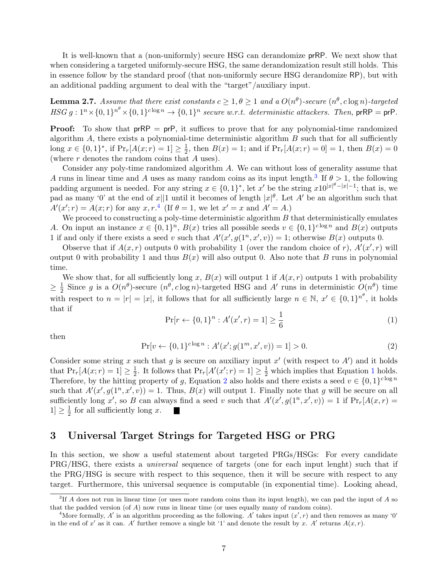It is well-known that a (non-uniformly) secure HSG can derandomize prRP. We next show that when considering a targeted uniformly-secure HSG, the same derandomization result still holds. This in essence follow by the standard proof (that non-uniformly secure HSG derandomize RP), but with an additional padding argument to deal with the "target"/auxiliary input.

<span id="page-7-4"></span>**Lemma 2.7.** Assume that there exist constants  $c \geq 1, \theta \geq 1$  and a  $O(n^{\theta})$ -secure  $(n^{\theta}, c \log n)$ -targeted  $HSG \ g: 1^n \times \{0,1\}^{n^{\theta}} \times \{0,1\}^{c \log n} \to \{0,1\}^n$  secure w.r.t. deterministic attackers. Then, prRP = prP.

**Proof:** To show that  $prRP = prP$ , it suffices to prove that for any polynomial-time randomized algorithm  $A$ , there exists a polynomial-time deterministic algorithm  $B$  such that for all sufficiently long  $x \in \{0,1\}^*$ , if  $\Pr_r[A(x; r) = 1] \ge \frac{1}{2}$  $\frac{1}{2}$ , then  $B(x) = 1$ ; and if  $\Pr_r[A(x; r) = 0] = 1$ , then  $B(x) = 0$ (where r denotes the random coins that A uses).

Consider any poly-time randomized algorithm A. We can without loss of generality assume that A runs in linear time and A uses as many random coins as its input length.<sup>[3](#page-7-0)</sup> If  $\theta > 1$ , the following padding argument is needed. For any string  $x \in \{0,1\}^*$ , let x' be the string  $x10^{|x|\theta-|x|-1}$ ; that is, we pad as many '0' at the end of x||1 until it becomes of length  $|x|^\theta$ . Let A' be an algorithm such that  $A'(x';r) = A(x;r)$  for any  $x, r<sup>4</sup>$  $x, r<sup>4</sup>$  $x, r<sup>4</sup>$  (If  $\theta = 1$ , we let  $x' = x$  and  $A' = A$ .)

We proceed to constructing a poly-time deterministic algorithm  $B$  that deterministically emulates A. On input an instance  $x \in \{0,1\}^n$ ,  $B(x)$  tries all possible seeds  $v \in \{0,1\}^{c \log n}$  and  $B(x)$  outputs 1 if and only if there exists a seed v such that  $A'(x', g(1^n, x', v)) = 1$ ; otherwise  $B(x)$  outputs 0.

Observe that if  $A(x, r)$  outputs 0 with probability 1 (over the random choice of r),  $A'(x', r)$  will output 0 with probability 1 and thus  $B(x)$  will also output 0. Also note that B runs in polynomial time.

We show that, for all sufficiently long x,  $B(x)$  will output 1 if  $A(x, r)$  outputs 1 with probability  $\geq \frac{1}{2}$  $\frac{1}{2}$  Since g is a  $O(n^{\theta})$ -secure  $(n^{\theta}, c \log n)$ -targeted HSG and A' runs in deterministic  $O(n^{\theta})$  time with respect to  $n = |r| = |x|$ , it follows that for all sufficiently large  $n \in \mathbb{N}$ ,  $x' \in \{0,1\}^{n^{\theta}}$ , it holds that if

<span id="page-7-2"></span>
$$
\Pr[r \leftarrow \{0, 1\}^n : A'(x', r) = 1] \ge \frac{1}{6} \tag{1}
$$

then

<span id="page-7-3"></span>
$$
\Pr[v \leftarrow \{0, 1\}^{c \log n} : A'(x'; g(1^m, x', v)) = 1] > 0. \tag{2}
$$

Consider some string x such that g is secure on auxiliary input  $x'$  (with respect to  $A'$ ) and it holds that  $Pr_r[A(x; r) = 1] \geq \frac{1}{2}$  $\frac{1}{2}$  $\frac{1}{2}$  $\frac{1}{2}$ . It follows that  $Pr_r[A'(x';r) = 1] \geq \frac{1}{2}$  which implies that Equation 1 holds. Therefore, by the hitting property of g, Equation [2](#page-7-3) also holds and there exists a seed  $v \in \{0,1\}^{c \log n}$ such that  $A'(x', g(1^n, x', v)) = 1$ . Thus,  $B(x)$  will output 1. Finally note that g will be secure on all sufficiently long x', so B can always find a seed v such that  $A'(x', g(1^n, x', v)) = 1$  if  $\Pr_r[A(x, r)] =$  $|1| \geq \frac{1}{2}$  $\frac{1}{2}$  for all sufficiently long x. П

# 3 Universal Target Strings for Targeted HSG or PRG

In this section, we show a useful statement about targeted PRGs/HSGs: For every candidate PRG/HSG, there exists a universal sequence of targets (one for each input lenght) such that if the PRG/HSG is secure with respect to this sequence, then it will be secure with respect to any target. Furthermore, this universal sequence is computable (in exponential time). Looking ahead,

<span id="page-7-0"></span><sup>&</sup>lt;sup>3</sup>If A does not run in linear time (or uses more random coins than its input length), we can pad the input of A so that the padded version (of  $A$ ) now runs in linear time (or uses equally many of random coins).

<span id="page-7-1"></span><sup>&</sup>lt;sup>4</sup>More formally, A' is an algorithm proceeding as the following. A' takes input  $(x', r)$  and then removes as many '0' in the end of x' as it can. A' further remove a single bit '1' and denote the result by x. A' returns  $A(x, r)$ .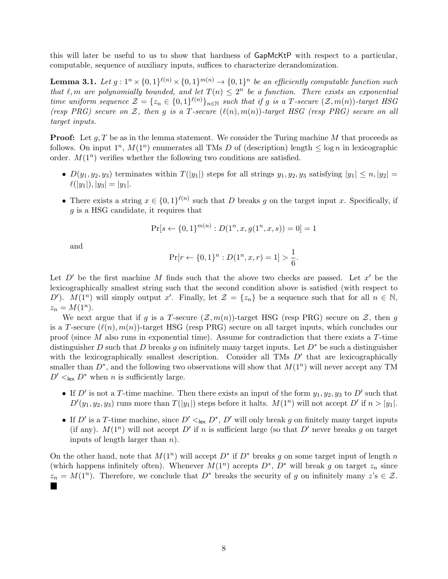this will later be useful to us to show that hardness of GapMcKtP with respect to a particular, computable, sequence of auxiliary inputs, suffices to characterize derandomization.

<span id="page-8-0"></span>**Lemma 3.1.** Let  $g: 1^n \times \{0,1\}^{\ell(n)} \times \{0,1\}^{m(n)} \to \{0,1\}^n$  be an efficiently computable function such that  $\ell, m$  are polynomially bounded, and let  $T(n) \leq 2^n$  be a function. There exists an exponential time uniform sequence  $\mathcal{Z} = \{z_n \in \{0,1\}^{\ell(n)}\}_{n \in \mathbb{N}}$  such that if g is a T-secure  $(\mathcal{Z}, m(n))$ -target HSG (resp PRG) secure on  $\mathcal{Z}$ , then g is a T-secure  $(\ell(n), m(n))$ -target HSG (resp PRG) secure on all target inputs.

**Proof:** Let  $q, T$  be as in the lemma statement. We consider the Turing machine M that proceeds as follows. On input  $1^n$ ,  $M(1^n)$  enumerates all TMs D of (description) length  $\leq \log n$  in lexicographic order.  $M(1^n)$  verifies whether the following two conditions are satisfied.

- $D(y_1, y_2, y_3)$  terminates within  $T(|y_1|)$  steps for all strings  $y_1, y_2, y_3$  satisfying  $|y_1| \le n, |y_2|$  $\ell(|y_1|), |y_3| = |y_1|.$
- There exists a string  $x \in \{0,1\}^{\ell(n)}$  such that D breaks g on the target input x. Specifically, if g is a HSG candidate, it requires that

$$
Pr[s \leftarrow \{0, 1\}^{m(n)} : D(1^n, x, g(1^n, x, s)) = 0] = 1
$$

and

$$
\Pr[r \leftarrow \{0, 1\}^n : D(1^n, x, r) = 1] > \frac{1}{6}.
$$

Let  $D'$  be the first machine M finds such that the above two checks are passed. Let  $x'$  be the lexicographically smallest string such that the second condition above is satisfied (with respect to D').  $M(1^n)$  will simply output x'. Finally, let  $\mathcal{Z} = \{z_n\}$  be a sequence such that for all  $n \in \mathbb{N}$ ,  $z_n = M(1^n)$ .

We next argue that if g is a T-secure  $(\mathcal{Z}, m(n))$ -target HSG (resp PRG) secure on  $\mathcal{Z}$ , then g is a T-secure  $(\ell(n), m(n))$ -target HSG (resp PRG) secure on all target inputs, which concludes our proof (since  $M$  also runs in exponential time). Assume for contradiction that there exists a  $T$ -time distinguisher D such that D breaks q on infinitely many target inputs. Let  $D^*$  be such a distinguisher with the lexicographically smallest description. Consider all TMs  $D'$  that are lexicographically smaller than  $D^*$ , and the following two observations will show that  $M(1^n)$  will never accept any TM  $D' <_{\text{lex}} D^*$  when n is sufficiently large.

- If D' is not a T-time machine. Then there exists an input of the form  $y_1, y_2, y_3$  to D' such that  $D'(y_1, y_2, y_3)$  runs more than  $T(|y_1|)$  steps before it halts.  $M(1^n)$  will not accept  $D'$  if  $n > |y_1|$ .
- If D' is a T-time machine, since  $D' <_{lex} D^*$ , D' will only break g on finitely many target inputs (if any).  $M(1^n)$  will not accept D' if n is sufficient large (so that D' never breaks g on target inputs of length larger than  $n$ ).

On the other hand, note that  $M(1^n)$  will accept  $D^*$  if  $D^*$  breaks g on some target input of length n (which happens infinitely often). Whenever  $M(1^n)$  accepts  $D^*$ ,  $D^*$  will break g on target  $z_n$  since  $z_n = M(1^n)$ . Therefore, we conclude that  $D^*$  breaks the security of g on infinitely many  $z$ 's  $\in \mathcal{Z}$ .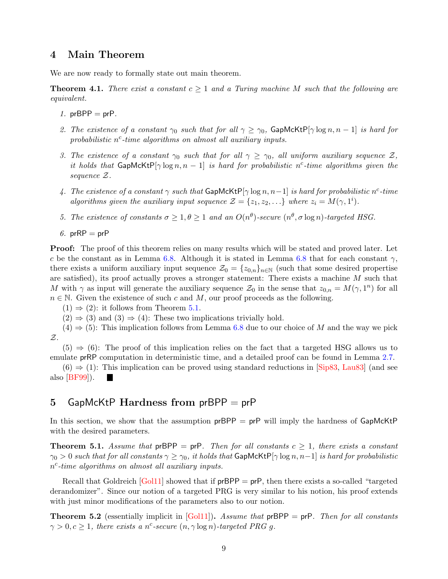### 4 Main Theorem

We are now ready to formally state out main theorem.

**Theorem 4.1.** There exist a constant  $c \geq 1$  and a Turing machine M such that the following are equivalent.

- 1. pr $BPP = prP$ .
- 2. The existence of a constant  $\gamma_0$  such that for all  $\gamma \geq \gamma_0$ , GapMcKtP[ $\gamma \log n, n-1$ ] is hard for probabilistic  $n^c$ -time algorithms on almost all auxiliary inputs.
- 3. The existence of a constant  $\gamma_0$  such that for all  $\gamma \geq \gamma_0$ , all uniform auxiliary sequence  $\mathcal{Z}$ , it holds that  $\mathsf{GapMcKtP}[\gamma \log n, n-1]$  is hard for probabilistic n<sup>c</sup>-time algorithms given the sequence Z.
- 4. The existence of a constant  $\gamma$  such that GapMcKtP[ $\gamma \log n, n-1$ ] is hard for probabilistic n<sup>c</sup>-time algorithms given the auxiliary input sequence  $\mathcal{Z} = \{z_1, z_2, \ldots\}$  where  $z_i = M(\gamma, 1^i)$ .
- 5. The existence of constants  $\sigma \geq 1, \theta \geq 1$  and an  $O(n^{\theta})$ -secure  $(n^{\theta}, \sigma \log n)$ -targeted HSG.
- 6. pr $RP = prP$

**Proof:** The proof of this theorem relies on many results which will be stated and proved later. Let c be the constant as in Lemma [6.8.](#page-15-5) Although it is stated in Lemma [6.8](#page-15-5) that for each constant  $\gamma$ , there exists a uniform auxiliary input sequence  $\mathcal{Z}_0 = \{z_{0,n}\}_{n\in\mathbb{N}}$  (such that some desired propertise are satisfied), its proof actually proves a stronger statement: There exists a machine  $M$  such that M with  $\gamma$  as input will generate the auxiliary sequence  $\mathcal{Z}_0$  in the sense that  $z_{0,n} = M(\gamma, 1^n)$  for all  $n \in \mathbb{N}$ . Given the existence of such c and M, our proof proceeds as the following.

- $(1) \Rightarrow (2)$ : it follows from Theorem [5.1.](#page-9-0)
- $(2) \Rightarrow (3)$  and  $(3) \Rightarrow (4)$ : These two implications trivially hold.

 $(4) \Rightarrow (5)$ : This implication follows from Lemma [6.8](#page-15-5) due to our choice of M and the way we pick Z.

 $(5) \Rightarrow (6)$ : The proof of this implication relies on the fact that a targeted HSG allows us to emulate prRP computation in deterministic time, and a detailed proof can be found in Lemma [2.7.](#page-7-4)

 $(6) \Rightarrow (1)$ : This implication can be proved using standard reductions in [\[Sip83,](#page-17-6) [Lau83\]](#page-16-13) (and see also [\[BF99\]](#page-15-4)). H.

# 5 GapMcKtP Hardness from  $prBPP = prP$

In this section, we show that the assumption  $prBPP = prP$  will imply the hardness of  $GapMcktP$ with the desired parameters.

<span id="page-9-0"></span>**Theorem 5.1.** Assume that prBPP = prP. Then for all constants  $c \geq 1$ , there exists a constant  $\gamma_0 > 0$  such that for all constants  $\gamma \geq \gamma_0$ , it holds that GapMcKtP[ $\gamma \log n$ ,  $n-1$ ] is hard for probabilistic  $n^c$ -time algorithms on almost all auxiliary inputs.

Recall that Goldreich  $[Gold]$  showed that if  $prBPP = prP$ , then there exists a so-called "targeted" derandomizer". Since our notion of a targeted PRG is very similar to his notion, his proof extends with just minor modifications of the parameters also to our notion.

<span id="page-9-1"></span>**Theorem 5.2** (essentially implicit in  $[Gol11]$ ). Assume that  $prBPP = prP$ . Then for all constants  $\gamma > 0, c \geq 1$ , there exists a n<sup>c</sup>-secure  $(n, \gamma \log n)$ -targeted PRG g.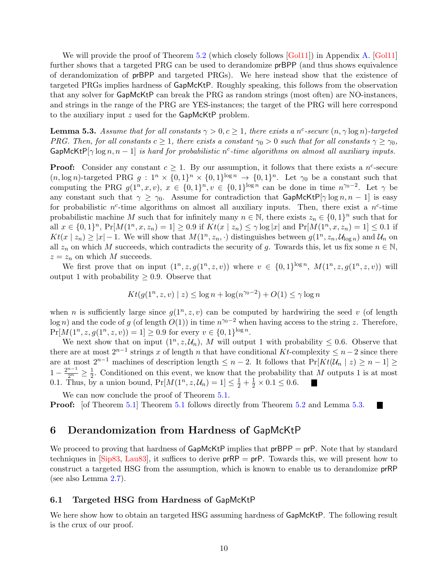We will provide the proof of Theorem [5.2](#page-9-1) (which closely follows [\[Gol11\]](#page-16-4)) in Appendix [A.](#page-17-7) [Gol11] further shows that a targeted PRG can be used to derandomize prBPP (and thus shows equivalence of derandomization of prBPP and targeted PRGs). We here instead show that the existence of targeted PRGs implies hardness of GapMcKtP. Roughly speaking, this follows from the observation that any solver for GapMcKtP can break the PRG as random strings (most often) are NO-instances, and strings in the range of the PRG are YES-instances; the target of the PRG will here correspond to the auxiliary input z used for the GapMcKtP problem.

<span id="page-10-0"></span>**Lemma 5.3.** Assume that for all constants  $\gamma > 0, c \ge 1$ , there exists a n<sup>c</sup>-secure  $(n, \gamma \log n)$ -targeted PRG. Then, for all constants  $c \geq 1$ , there exists a constant  $\gamma_0 > 0$  such that for all constants  $\gamma \geq \gamma_0$ ,  $GapMcktP[\gamma \log n, n-1]$  is hard for probabilistic n<sup>c</sup>-time algorithms on almost all auxiliary inputs.

**Proof:** Consider any constant  $c \geq 1$ . By our assumption, it follows that there exists a  $n^c$ -secure  $(n, \log n)$ -targeted PRG  $g: 1^n \times \{0,1\}^n \times \{0,1\}^{\log n} \to \{0,1\}^n$ . Let  $\gamma_0$  be a constant such that computing the PRG  $g(1^n, x, v)$ ,  $x \in \{0, 1\}^n$ ,  $v \in \{0, 1\}^{\log n}$  can be done in time  $n^{\gamma_0 - 2}$ . Let  $\gamma$  be any constant such that  $\gamma \geq \gamma_0$ . Assume for contradiction that  $\text{GapMcKtP}[\gamma \log n, n-1]$  is easy for probabilistic  $n^c$ -time algorithms on almost all auxiliary inputs. Then, there exist a  $n^c$ -time probabilistic machine M such that for infinitely many  $n \in \mathbb{N}$ , there exists  $z_n \in \{0,1\}^n$  such that for all  $x \in \{0,1\}^n$ ,  $Pr[M(1^n, x, z_n) = 1] \ge 0.9$  if  $Kt(x \mid z_n) \le \gamma \log |x|$  and  $Pr[M(1^n, x, z_n) = 1] \le 0.1$  if  $Kt(x \mid z_n) \geq |x| - 1$ . We will show that  $M(1^n, z_n, \cdot)$  distinguishes between  $g(1^n, z_n, \mathcal{U}_{\log n})$  and  $\mathcal{U}_n$  on all  $z_n$  on which M succeeds, which contradicts the security of g. Towards this, let us fix some  $n \in \mathbb{N}$ ,  $z = z_n$  on which M succeeds.

We first prove that on input  $(1^n, z, g(1^n, z, v))$  where  $v \in \{0, 1\}^{\log n}$ ,  $M(1^n, z, g(1^n, z, v))$  will output 1 with probability  $\geq 0.9$ . Observe that

$$
Kt(g(1^n,z,v)\mid z)\leq \log n+\log(n^{\gamma_0-2})+O(1)\leq \gamma\log n
$$

when *n* is sufficiently large since  $g(1^n, z, v)$  can be computed by hardwiring the seed *v* (of length  $\log n$ ) and the code of g (of length  $O(1)$ ) in time  $n^{\gamma_0-2}$  when having access to the string z. Therefore,  $Pr[M(1^n, z, g(1^n, z, v)) = 1] \ge 0.9$  for every  $v \in \{0, 1\}^{\log n}$ .

We next show that on input  $(1^n, z, \mathcal{U}_n)$ , M will output 1 with probability  $\leq 0.6$ . Observe that there are at most  $2^{n-1}$  strings x of length n that have conditional Kt-complexity  $\leq n-2$  since there are at most  $2^{n-1}$  machines of description length  $\leq n-2$ . It follows that  $Pr[Kt(\mathcal{U}_n | z) \geq n-1] \geq$  $1-\frac{2^{n-1}}{2^n}\geq \frac{1}{2}$  $\frac{1}{2}$ . Conditioned on this event, we know that the probability that M outputs 1 is at most 0.1. Thus, by a union bound,  $Pr[M(1^n, z, \mathcal{U}_n) = 1] \le \frac{1}{2} + \frac{1}{2} \times 0.1 \le 0.6$ .

 $\blacksquare$ 

We can now conclude the proof of Theorem  $5.1$ . **Proof:** [of Theorem [5.1\]](#page-9-0) Theorem [5.1](#page-9-0) follows directly from Theorem [5.2](#page-9-1) and Lemma [5.3.](#page-10-0)

# 6 Derandomization from Hardness of GapMcKtP

We proceed to proving that hardness of  $GapMcktP$  implies that  $prBPP = prP$ . Note that by standard techniques in  $\text{[Sip83, Lau83]}$  $\text{[Sip83, Lau83]}$  $\text{[Sip83, Lau83]}$  $\text{[Sip83, Lau83]}$  $\text{[Sip83, Lau83]}$ , it suffices to derive  $\text{prRP} = \text{prP}$ . Towards this, we will present how to construct a targeted HSG from the assumption, which is known to enable us to derandomize prRP (see also Lemma [2.7\)](#page-7-4).

### 6.1 Targeted HSG from Hardness of GapMcKtP

We here show how to obtain an targeted HSG assuming hardness of  $\mathsf{GapMcKtP}$ . The following result is the crux of our proof.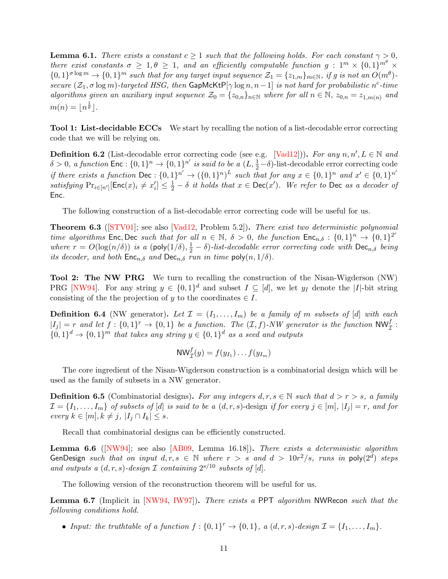<span id="page-11-1"></span>**Lemma 6.1.** There exists a constant  $c \geq 1$  such that the following holds. For each constant  $\gamma > 0$ , there exist constants  $\sigma \geq 1, \theta \geq 1$ , and an efficiently computable function  $g: 1^m \times \{0,1\}^{m^{\theta}} \times$  $\{0,1\}^{\sigma \log m} \to \{0,1\}^m$  such that for any target input sequence  $\mathcal{Z}_1 = \{z_{1,m}\}_{m \in \mathbb{N}}$ , if g is not an  $O(m^{\theta})$ secure  $(\mathcal{Z}_1, \sigma \log m)$ -targeted HSG, then GapMcKtP[ $\gamma \log n, n-1$ ] is not hard for probabilistic n<sup>c</sup>-time algorithms given an auxiliary input sequence  $\mathcal{Z}_0 = \{z_{0,n}\}_{n\in\mathbb{N}}$  where for all  $n \in \mathbb{N}$ ,  $z_{0,n} = z_{1,m(n)}$  and  $m(n) = |n^{\frac{1}{\theta}}|.$ 

Tool 1: List-decidable ECCs We start by recalling the notion of a list-decodable error correcting code that we will be relying on.

**Definition 6.2** (List-decodable error correcting code (see e.g. [\[Vad12\]](#page-17-8))). For any  $n, n', L \in \mathbb{N}$  and  $\delta > 0$ , a function  $\textsf{Enc} : \{0,1\}^n \to \{0,1\}^{n'}$  is said to be a  $(L, \frac{1}{2}-\delta)$ -list-decodable error correcting code if there exists a function  $\text{Dec} : \{0,1\}^{n'} \to (\{0,1\}^n)^L$  such that for any  $x \in \{0,1\}^n$  and  $x' \in \{0,1\}^{n'}$ satisfying  $Pr_{i \in [n']}$   $[Enc(x)_i \neq x'_i] \leq \frac{1}{2} - \delta$  it holds that  $x \in Dec(x')$ . We refer to Dec as a decoder of Enc.

The following construction of a list-decodable error correcting code will be useful for us.

<span id="page-11-2"></span>Theorem 6.3 ([\[STV01\]](#page-17-9); see also [\[Vad12,](#page-17-8) Problem 5.2]). There exist two deterministic polynomial time algorithms Enc, Dec such that for all  $n \in \mathbb{N}$ ,  $\delta > 0$ , the function  $\text{Enc}_{n,\delta}: \{0,1\}^n \to \{0,1\}^{2^r}$ where  $r = O(\log(n/\delta))$  is a (poly $(1/\delta), \frac{1}{2} - \delta$ )-list-decodable error correcting code with  $\mathsf{Dec}_{n,\delta}$  being its decoder, and both  $\mathsf{Enc}_{n,\delta}$  and  $\mathsf{Dec}_{n,\delta}$  run in time poly $(n,1/\delta)$ .

Tool 2: The NW PRG We turn to recalling the construction of the Nisan-Wigderson (NW) PRG [\[NW94\]](#page-17-1). For any string  $y \in \{0,1\}^d$  and subset  $I \subseteq [d]$ , we let  $y_I$  denote the |I|-bit string consisting of the the projection of y to the coordinates  $\in I$ .

<span id="page-11-4"></span>**Definition 6.4** (NW generator). Let  $\mathcal{I} = (I_1, \ldots, I_m)$  be a family of m subsets of [d] with each  $|I_j| = r$  and let  $f: \{0,1\}^r \to \{0,1\}$  be a function. The  $(\mathcal{I}, f)$ -NW generator is the function  $\text{NW}_\mathcal{I}^f$ :  $\{0,1\}^d \rightarrow \{0,1\}^m$  that takes any string  $y \in \{0,1\}^d$  as a seed and outputs

$$
\mathsf{NW}^f_{\mathcal{I}}(y) = f(y_{I_1}) \dots f(y_{I_m})
$$

The core ingredient of the Nisan-Wigderson construction is a combinatorial design which will be used as the family of subsets in a NW generator.

**Definition 6.5** (Combinatorial designs). For any integers  $d, r, s \in \mathbb{N}$  such that  $d > r > s$ , a family  $\mathcal{I} = \{I_1, \ldots, I_m\}$  of subsets of [d] is said to be a  $(d, r, s)$ -design if for every  $j \in [m], |I_j| = r$ , and for every  $k \in [m], k \neq j, |I_j \cap I_k| \leq s.$ 

Recall that combinatorial designs can be efficiently constructed.

<span id="page-11-3"></span>**Lemma 6.6** ( $[NW94]$ ; see also  $[AB09, \text{ Lemma } 16.18]$  $[AB09, \text{ Lemma } 16.18]$ ). There exists a deterministic algorithm GenDesign such that on input  $d, r, s \in \mathbb{N}$  where  $r > s$  and  $d > 10r^2/s$ , runs in poly $(2^d)$  steps and outputs a  $(d, r, s)$ -design  $\mathcal I$  containing  $2^{s/10}$  subsets of  $[d]$ .

The following version of the reconstruction theorem will be useful for us.

<span id="page-11-0"></span>Lemma 6.7 (Implicit in [\[NW94,](#page-17-1) [IW97\]](#page-16-1)). There exists a PPT algorithm NWRecon such that the following conditions hold.

• Input: the truthtable of a function  $f: \{0,1\}^r \to \{0,1\}$ , a  $(d,r,s)$ -design  $\mathcal{I} = \{I_1, \ldots, I_m\}$ .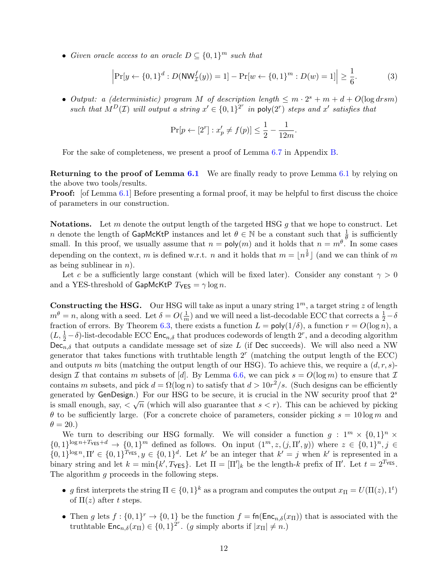• Given oracle access to an oracle  $D \subseteq \{0,1\}^m$  such that

<span id="page-12-0"></span>
$$
\left|\Pr[y \leftarrow \{0, 1\}^d : D(\text{NW}_\mathcal{I}^f(y)) = 1] - \Pr[w \leftarrow \{0, 1\}^m : D(w) = 1]\right| \ge \frac{1}{6}.\tag{3}
$$

.

• Output: a (deterministic) program M of description length  $\leq m \cdot 2^s + m + d + O(\log d r s m)$ such that  $M^D(\mathcal{I})$  will output a string  $x' \in \{0,1\}^{2^r}$  in poly $(2^r)$  steps and  $x'$  satisfies that

$$
\Pr[p \leftarrow [2^r] : x'_p \neq f(p)] \le \frac{1}{2} - \frac{1}{12m}
$$

For the sake of completeness, we present a proof of Lemma [6.7](#page-11-0) in Appendix [B.](#page-18-0)

Returning to the proof of Lemma [6.1](#page-11-1) We are finally ready to prove Lemma 6.1 by relying on the above two tools/results.

**Proof:** [of Lemma [6.1\]](#page-11-1) Before presenting a formal proof, it may be helpful to first discuss the choice of parameters in our construction.

**Notations.** Let m denote the output length of the targeted HSG g that we hope to construct. Let n denote the length of GapMcKtP instances and let  $\theta \in \mathbb{N}$  be a constant such that  $\frac{1}{\theta}$  is sufficiently small. In this proof, we usually assume that  $n = \text{poly}(m)$  and it holds that  $n = m^{\theta}$ . In some cases depending on the context, m is defined w.r.t. n and it holds that  $m = |n^{\frac{1}{\theta}}|$  (and we can think of m as being sublinear in  $n$ ).

Let c be a sufficiently large constant (which will be fixed later). Consider any constant  $\gamma > 0$ and a YES-threshold of GapMcKtP  $T_{\text{YES}} = \gamma \log n$ .

**Constructing the HSG.** Our HSG will take as input a unary string  $1<sup>m</sup>$ , a target string z of length  $m^{\theta} = n$ , along with a seed. Let  $\delta = O(\frac{1}{m})$  $\frac{1}{m}$ ) and we will need a list-decodable ECC that corrects a  $\frac{1}{2} - \delta$ fraction of errors. By Theorem [6.3,](#page-11-2) there exists a function  $L = \text{poly}(1/\delta)$ , a function  $r = O(\log n)$ , a  $(L, \frac{1}{2} - \delta)$ -list-decodable ECC  $\mathsf{Enc}_{n,\delta}$  that produces codewords of length  $2^r$ , and a decoding algorithm  $Dec_{n,\delta}$  that outputs a candidate message set of size L (if Dec succeeds). We will also need a NW generator that takes functions with truthtable length  $2<sup>r</sup>$  (matching the output length of the ECC) and outputs m bits (matching the output length of our HSG). To achieve this, we require a  $(d, r, s)$ -design I that contains m subsets of [d]. By Lemma [6.6,](#page-11-3) we can pick  $s = O(\log m)$  to ensure that I contains m subsets, and pick  $d = \Omega(\log n)$  to satisfy that  $d > 10r^2/s$ . (Such designs can be efficiently generated by GenDesign.) For our HSG to be secure, it is crucial in the NW security proof that  $2^s$ is small enough, say,  $\langle \sqrt{n} \rangle$  (which will also guarantee that  $s \langle r \rangle$ ). This can be achieved by picking  $\theta$  to be sufficiently large. (For a concrete choice of parameters, consider picking  $s = 10 \log m$  and  $\theta = 20.$ 

We turn to describing our HSG formally. We will consider a function  $g: 1^m \times \{0,1\}^n \times$  $\{0,1\}^{\log n+T_{\text{YES}}+d} \rightarrow \{0,1\}^m$  defined as follows. On input  $(1^m, z, (j, \Pi', y))$  where  $z \in \{0,1\}^n, j \in \mathbb{Z}$  $\{0,1\}^{\log n}, \Pi' \in \{0,1\}^{\text{Tr}}$  =  $\{0,1\}^d$ . Let k' be an integer that  $k' = j$  when k' is represented in a binary string and let  $k = \min\{k', T_{\text{YES}}\}.$  Let  $\Pi = [\Pi']_k$  be the length-k prefix of  $\Pi'$ . Let  $t = 2^{T_{\text{YES}}}.$ The algorithm g proceeds in the following steps.

- g first interprets the string  $\Pi \in \{0,1\}^k$  as a program and computes the output  $x_{\Pi} = U(\Pi(z), 1^t)$ of  $\Pi(z)$  after t steps.
- Then g lets  $f: \{0,1\}^r \to \{0,1\}$  be the function  $f = \text{fn}(\text{Enc}_{n,\delta}(x_{\Pi}))$  that is associated with the truthtable  $\mathsf{Enc}_{n,\delta}(x_{\Pi}) \in \{0,1\}^{2^r}$ . (g simply aborts if  $|x_{\Pi}| \neq n$ .)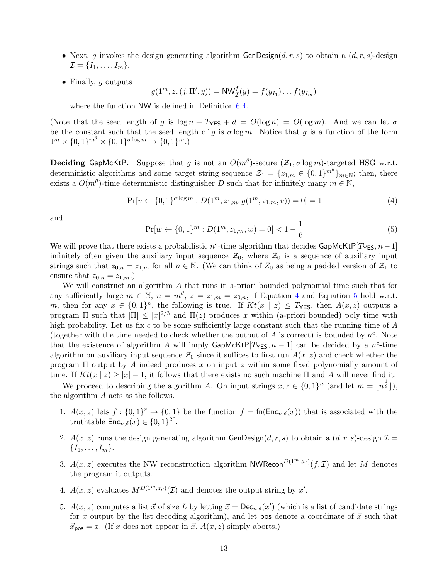- Next, g invokes the design generating algorithm GenDesign $(d, r, s)$  to obtain a  $(d, r, s)$ -design  $\mathcal{I} = \{I_1, \ldots, I_m\}.$
- Finally, g outputs

$$
g(1^m, z, (j, \Pi', y)) = \text{NW}^f_{\mathcal{I}}(y) = f(y_{I_1}) \dots f(y_{I_m})
$$

where the function NW is defined in Definition [6.4.](#page-11-4)

(Note that the seed length of g is  $\log n + T_{\text{YES}} + d = O(\log n) = O(\log m)$ . And we can let  $\sigma$ be the constant such that the seed length of g is  $\sigma \log m$ . Notice that g is a function of the form  $1^m \times \{0,1\}^{m^{\theta}} \times \{0,1\}^{\sigma \log m} \to \{0,1\}^m.$ 

**Deciding GapMcKtP.** Suppose that g is not an  $O(m^{\theta})$ -secure  $(\mathcal{Z}_1, \sigma \log m)$ -targeted HSG w.r.t. deterministic algorithms and some target string sequence  $\mathcal{Z}_1 = \{z_{1,m} \in \{0,1\}^{m^{\theta}}\}_{m \in \mathbb{N}}$ ; then, there exists a  $O(m^{\theta})$ -time deterministic distinguisher D such that for infinitely many  $m \in \mathbb{N}$ ,

<span id="page-13-0"></span>
$$
\Pr[v \leftarrow \{0, 1\}^{\sigma \log m} : D(1^m, z_{1,m}, g(1^m, z_{1,m}, v)) = 0] = 1 \tag{4}
$$

and

<span id="page-13-1"></span>
$$
\Pr[w \leftarrow \{0, 1\}^m : D(1^m, z_{1,m}, w) = 0] < 1 - \frac{1}{6} \tag{5}
$$

We will prove that there exists a probabilistic  $n^c$ -time algorithm that decides GapMcKtP[T<sub>YES</sub>,  $n-1$ ] infinitely often given the auxiliary input sequence  $\mathcal{Z}_0$ , where  $\mathcal{Z}_0$  is a sequence of auxiliary input strings such that  $z_{0,n} = z_{1,m}$  for all  $n \in \mathbb{N}$ . (We can think of  $Z_0$  as being a padded version of  $\mathcal{Z}_1$  to ensure that  $z_{0,n} = z_{1,m}$ .

We will construct an algorithm A that runs in a-priori bounded polynomial time such that for any sufficiently large  $m \in \mathbb{N}$ ,  $n = m^{\theta}$ ,  $z = z_{1,m} = z_{0,n}$ , if Equation [4](#page-13-0) and Equation [5](#page-13-1) hold w.r.t. m, then for any  $x \in \{0,1\}^n$ , the following is true. If  $Kt(x \mid z) \leq T_{\text{YES}}$ , then  $A(x, z)$  outputs a program  $\Pi$  such that  $|\Pi| \leq |x|^{2/3}$  and  $\Pi(z)$  produces x within (a-priori bounded) poly time with high probability. Let us fix c to be some sufficiently large constant such that the running time of  $A$ (together with the time needed to check whether the output of A is correct) is bounded by  $n^c$ . Note that the existence of algorithm A will imply  $\mathsf{GapMcKtP}[T_{\mathsf{YES}}, n-1]$  can be decided by a n<sup>c</sup>-time algorithm on auxiliary input sequence  $\mathcal{Z}_0$  since it suffices to first run  $A(x, z)$  and check whether the program  $\Pi$  output by A indeed produces x on input z within some fixed polynomially amount of time. If  $Kt(x \mid z) \geq |x| - 1$ , it follows that there exists no such machine  $\Pi$  and A will never find it.

We proceed to describing the algorithm A. On input strings  $x, z \in \{0,1\}^n$  (and let  $m = \lfloor n^{\frac{1}{\theta}} \rfloor$ ), the algorithm A acts as the follows.

- 1.  $A(x, z)$  lets  $f : \{0, 1\}^r \to \{0, 1\}$  be the function  $f = \text{fn}(\text{Enc}_{n, \delta}(x))$  that is associated with the truthtable  $\mathsf{Enc}_{n,\delta}(x) \in \{0,1\}^{2^r}$ .
- 2.  $A(x, z)$  runs the design generating algorithm GenDesign $(d, r, s)$  to obtain a  $(d, r, s)$ -design  $\mathcal{I} =$  ${I_1,\ldots,I_m}.$
- 3.  $A(x, z)$  executes the NW reconstruction algorithm NWRecon<sup> $D(1^m, z, \cdot)(f, \mathcal{I})$  and let M denotes</sup> the program it outputs.
- 4.  $A(x, z)$  evaluates  $M^{D(1^m, z, \cdot)}(\mathcal{I})$  and denotes the output string by x'.
- 5.  $A(x, z)$  computes a list  $\vec{x}$  of size L by letting  $\vec{x} = \text{Dec}_{n,\delta}(x')$  (which is a list of candidate strings for x output by the list decoding algorithm), and let pos denote a coordinate of  $\vec{x}$  such that  $\vec{x}_{\text{pos}} = x$ . (If x does not appear in  $\vec{x}$ ,  $A(x, z)$  simply aborts.)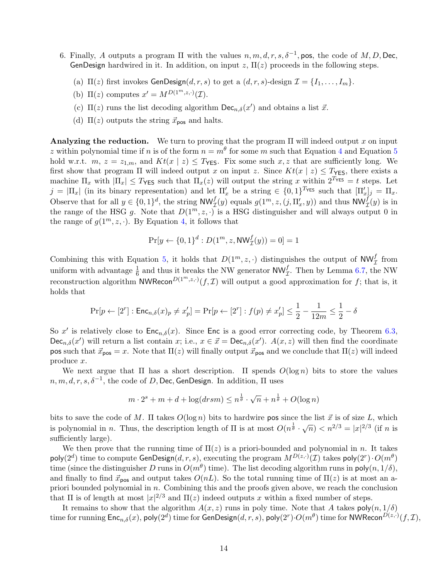- 6. Finally, A outputs a program  $\Pi$  with the values  $n, m, d, r, s, \delta^{-1}$ , pos, the code of  $M, D$ , Dec, GenDesign hardwired in it. In addition, on input  $z$ ,  $\Pi(z)$  proceeds in the following steps.
	- (a)  $\Pi(z)$  first invokes GenDesign $(d, r, s)$  to get a  $(d, r, s)$ -design  $\mathcal{I} = \{I_1, \ldots, I_m\}$ .
	- (b)  $\Pi(z)$  computes  $x' = M^{D(1^m,z,\cdot)}(\mathcal{I}).$
	- (c)  $\Pi(z)$  runs the list decoding algorithm  $\text{Dec}_{n,\delta}(x')$  and obtains a list  $\vec{x}$ .
	- (d)  $\Pi(z)$  outputs the string  $\vec{x}_{\text{pos}}$  and halts.

**Analyzing the reduction.** We turn to proving that the program  $\Pi$  will indeed output x on input z within polynomial time if n is of the form  $n = m^{\theta}$  for some m such that Equation [4](#page-13-0) and Equation [5](#page-13-1) hold w.r.t.  $m, z = z_{1,m}$ , and  $Kt(x | z) \leq T_{\text{YES}}$ . Fix some such  $x, z$  that are sufficiently long. We first show that program  $\Pi$  will indeed output x on input z. Since  $Kt(x | z) \leq T_{\text{YES}}$ , there exists a machine  $\Pi_x$  with  $|\Pi_x| \le T_{\text{YES}}$  such that  $\Pi_x(z)$  will output the string x within  $2^{T_{\text{YES}}}=t$  steps. Let  $j = |\Pi_x|$  (in its binary representation) and let  $\Pi'_x$  be a string  $\in \{0,1\}^{T_{\text{YES}}}$  such that  $[\Pi'_x]_j = \Pi_x$ . Observe that for all  $y \in \{0,1\}^d$ , the string  $NW_{\mathcal{I}}^f(y)$  equals  $g(1^m, z, (j, \Pi_x', y))$  and thus  $NW_{\mathcal{I}}^f(y)$  is in the range of the HSG g. Note that  $D(1^m, z, \cdot)$  is a HSG distinguisher and will always output 0 in the range of  $g(1^m, z, \cdot)$ . By Equation [4,](#page-13-0) it follows that

$$
Pr[y \leftarrow \{0, 1\}^d : D(1^m, z, \text{NW}_{\mathcal{I}}^f(y)) = 0] = 1
$$

Combining this with Equation [5,](#page-13-1) it holds that  $D(1^m, z, \cdot)$  distinguishes the output of  $NW_{\mathcal{I}}^f$  from uniform with advantage  $\frac{1}{6}$  and thus it breaks the NW generator  $\mathsf{NW}_{\mathcal{I}}^f$ . Then by Lemma [6.7,](#page-11-0) the NW reconstruction algorithm NWRecon<sup> $D(1^m,z,\cdot)(f,\mathcal{I})$ </sup> will output a good approximation for f; that is, it holds that

$$
\Pr[p \leftarrow [2^r]: \mathsf{Enc}_{n,\delta}(x)_p \neq x'_p] = \Pr[p \leftarrow [2^r]: f(p) \neq x'_p] \leq \frac{1}{2} - \frac{1}{12m} \leq \frac{1}{2} - \delta
$$

So x' is relatively close to  $\mathsf{Enc}_{n,\delta}(x)$ . Since Enc is a good error correcting code, by Theorem [6.3,](#page-11-2)  $Dec_{n,\delta}(x')$  will return a list contain x; i.e.,  $x \in \vec{x} = Dec_{n,\delta}(x')$ .  $A(x, z)$  will then find the coordinate pos such that  $\vec{x}_{pos} = x$ . Note that  $\Pi(z)$  will finally output  $\vec{x}_{pos}$  and we conclude that  $\Pi(z)$  will indeed produce x.

We next argue that  $\Pi$  has a short description.  $\Pi$  spends  $O(\log n)$  bits to store the values  $n, m, d, r, s, \delta^{-1}$ , the code of D, Dec, GenDesign. In addition,  $\Pi$  uses

$$
m \cdot 2^s + m + d + \log(drsm) \le n^{\frac{1}{\theta}} \cdot \sqrt{n} + n^{\frac{1}{\theta}} + O(\log n)
$$

bits to save the code of M.  $\Pi$  takes  $O(\log n)$  bits to hardwire pos since the list  $\vec{x}$  is of size L, which is polynomial in *n*. Thus, the description length of  $\Pi$  is at most  $O(n^{\frac{1}{\theta}} \cdot \sqrt{n}) < n^{2/3} = |x|^{2/3}$  (if *n* is sufficiently large).

We then prove that the running time of  $\Pi(z)$  is a priori-bounded and polynomial in n. It takes poly $(2^d)$  time to compute GenDesign $(d, r, s)$ , executing the program  $M^{D(z, \cdot)}(\mathcal{I})$  takes poly $(2^r) \cdot O(m^\theta)$ time (since the distinguisher D runs in  $O(m^{\theta})$  time). The list decoding algorithm runs in  $poly(n, 1/\delta)$ , and finally to find  $\vec{x}_{pos}$  and output takes  $O(nL)$ . So the total running time of  $\Pi(z)$  is at most an apriori bounded polynomial in  $n$ . Combining this and the proofs given above, we reach the conclusion that  $\Pi$  is of length at most  $|x|^{2/3}$  and  $\Pi(z)$  indeed outputs x within a fixed number of steps.

It remains to show that the algorithm  $A(x, z)$  runs in poly time. Note that A takes  $poly(n, 1/\delta)$ time for running  ${\sf Enc}_{n,\delta}(x),$  poly $(2^d)$  time for  ${\sf GenDesign}(d,r,s),$  poly $(2^r)\cdot O(m^\theta)$  time for  $\mathsf{NWRecon}^{D(z,\cdot)}(f,\mathcal{I}),$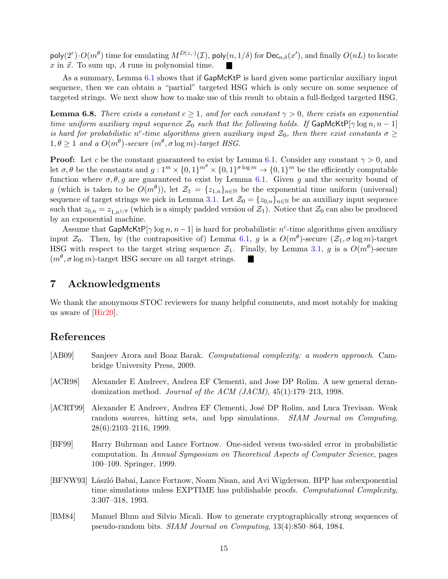$\mathsf{poly}(2^r)\cdot O(m^\theta)$  time for emulating  $M^{D(z,\cdot)}(\mathcal{I}),$   $\mathsf{poly}(n,1/\delta)$  for  $\mathsf{Dec}_{n,\delta}(x'),$  and finally  $O(nL)$  to locate  $x$  in  $\vec{x}$ . To sum up, A runs in polynomial time.

As a summary, Lemma [6.1](#page-11-1) shows that if GapMcKtP is hard given some particular auxiliary input sequence, then we can obtain a "partial" targeted HSG which is only secure on some sequence of targeted strings. We next show how to make use of this result to obtain a full-fledged targeted HSG.

<span id="page-15-5"></span>**Lemma 6.8.** There exists a constant  $c \geq 1$ , and for each constant  $\gamma > 0$ , there exists an exponential time uniform auxiliary input sequence  $\mathcal{Z}_0$  such that the following holds. If  $\mathsf{GapMcktP}[\gamma \log n, n-1]$ is hard for probabilistic n<sup>c</sup>-time algorithms given auxiliary input  $\mathcal{Z}_0$ , then there exist constants  $\sigma \geq$  $1, \theta \geq 1$  and a  $O(m^{\theta})$ -secure  $(m^{\theta}, \sigma \log m)$ -target HSG.

**Proof:** Let c be the constant guaranteed to exist by Lemma [6.1.](#page-11-1) Consider any constant  $\gamma > 0$ , and let  $\sigma, \theta$  be the constants and  $g: 1^m \times \{0,1\}^{m^{\theta}} \times \{0,1\}^{\sigma \log m} \to \{0,1\}^m$  be the efficiently computable function where  $\sigma, \theta, g$  are guaranteed to exist by Lemma [6.1.](#page-11-1) Given g and the security bound of g (which is taken to be  $O(m^{\theta})$ ), let  $\mathcal{Z}_1 = \{z_{1,n}\}_{n \in \mathbb{N}}$  be the exponential time uniform (universal) sequence of target strings we pick in Lemma [3.1.](#page-8-0) Let  $\mathcal{Z}_0 = \{z_{0,n}\}_{n\in\mathbb{N}}$  be an auxiliary input sequence such that  $z_{0,n} = z_{1,n^{1/\theta}}$  (which is a simply padded version of  $\mathcal{Z}_1$ ). Notice that  $\mathcal{Z}_0$  can also be produced by an exponential machine.

Assume that  $\mathsf{GapMcKtP}[\gamma \log n, n-1]$  is hard for probabilistic  $n^c$ -time algorithms given auxiliary input  $\mathcal{Z}_0$ . Then, by (the contrapositive of) Lemma [6.1,](#page-11-1) g is a  $O(m^{\theta})$ -secure  $(\mathcal{Z}_1, \sigma \log m)$ -target HSG with respect to the target string sequence  $\mathcal{Z}_1$ . Finally, by Lemma [3.1,](#page-8-0) g is a  $O(m^{\theta})$ -secure  $(m^{\theta}, \sigma \log m)$ -target HSG secure on all target strings.

# 7 Acknowledgments

We thank the anonymous STOC reviewers for many helpful comments, and most notably for making us aware of [\[Hir20\]](#page-16-7).

# References

- <span id="page-15-6"></span>[AB09] Sanjeev Arora and Boaz Barak. Computational complexity: a modern approach. Cambridge University Press, 2009.
- <span id="page-15-2"></span>[ACR98] Alexander E Andreev, Andrea EF Clementi, and Jose DP Rolim. A new general derandomization method. Journal of the ACM (JACM), 45(1):179–213, 1998.
- <span id="page-15-3"></span>[ACRT99] Alexander E Andreev, Andrea EF Clementi, José DP Rolim, and Luca Trevisan. Weak random sources, hitting sets, and bpp simulations. SIAM Journal on Computing, 28(6):2103–2116, 1999.
- <span id="page-15-4"></span>[BF99] Harry Buhrman and Lance Fortnow. One-sided versus two-sided error in probabilistic computation. In Annual Symposium on Theoretical Aspects of Computer Science, pages 100–109. Springer, 1999.
- <span id="page-15-1"></span>[BFNW93] László Babai, Lance Fortnow, Noam Nisan, and Avi Wigderson. BPP has subexponential time simulations unless EXPTIME has publishable proofs. Computational Complexity, 3:307–318, 1993.
- <span id="page-15-0"></span>[BM84] Manuel Blum and Silvio Micali. How to generate cryptographically strong sequences of pseudo-random bits. SIAM Journal on Computing, 13(4):850–864, 1984.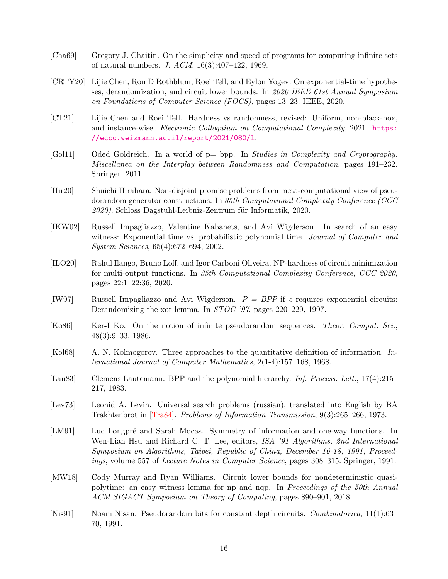- <span id="page-16-9"></span>[Cha69] Gregory J. Chaitin. On the simplicity and speed of programs for computing infinite sets of natural numbers. J. ACM, 16(3):407–422, 1969.
- <span id="page-16-5"></span>[CRTY20] Lijie Chen, Ron D Rothblum, Roei Tell, and Eylon Yogev. On exponential-time hypotheses, derandomization, and circuit lower bounds. In 2020 IEEE 61st Annual Symposium on Foundations of Computer Science (FOCS), pages 13–23. IEEE, 2020.
- <span id="page-16-6"></span>[CT21] Lijie Chen and Roei Tell. Hardness vs randomness, revised: Uniform, non-black-box, and instance-wise. Electronic Colloquium on Computational Complexity, 2021. [https:](https://eccc.weizmann.ac.il/report/2021/080/l) [//eccc.weizmann.ac.il/report/2021/080/l](https://eccc.weizmann.ac.il/report/2021/080/l).
- <span id="page-16-4"></span>[Gol11] Oded Goldreich. In a world of p= bpp. In Studies in Complexity and Cryptography. Miscellanea on the Interplay between Randomness and Computation, pages 191–232. Springer, 2011.
- <span id="page-16-7"></span>[Hir20] Shuichi Hirahara. Non-disjoint promise problems from meta-computational view of pseudorandom generator constructions. In 35th Computational Complexity Conference (CCC  $2020$ ). Schloss Dagstuhl-Leibniz-Zentrum für Informatik, 2020.
- <span id="page-16-2"></span>[IKW02] Russell Impagliazzo, Valentine Kabanets, and Avi Wigderson. In search of an easy witness: Exponential time vs. probabilistic polynomial time. Journal of Computer and System Sciences, 65(4):672–694, 2002.
- <span id="page-16-12"></span>[ILO20] Rahul Ilango, Bruno Loff, and Igor Carboni Oliveira. NP-hardness of circuit minimization for multi-output functions. In 35th Computational Complexity Conference, CCC 2020, pages 22:1–22:36, 2020.
- <span id="page-16-1"></span>[IW97] Russell Impagliazzo and Avi Wigderson.  $P = BPP$  if e requires exponential circuits: Derandomizing the xor lemma. In STOC '97, pages 220–229, 1997.
- <span id="page-16-14"></span>[Ko86] Ker-I Ko. On the notion of infinite pseudorandom sequences. Theor. Comput. Sci., 48(3):9–33, 1986.
- <span id="page-16-8"></span>[Kol68] A. N. Kolmogorov. Three approaches to the quantitative definition of information. International Journal of Computer Mathematics, 2(1-4):157–168, 1968.
- <span id="page-16-13"></span>[Lau83] Clemens Lautemann. BPP and the polynomial hierarchy. Inf. Process. Lett., 17(4):215– 217, 1983.
- <span id="page-16-10"></span>[Lev73] Leonid A. Levin. Universal search problems (russian), translated into English by BA Trakhtenbrot in [\[Tra84\]](#page-17-5). Problems of Information Transmission, 9(3):265–266, 1973.
- <span id="page-16-11"></span>[LM91] Luc Longpré and Sarah Mocas. Symmetry of information and one-way functions. In Wen-Lian Hsu and Richard C. T. Lee, editors, ISA '91 Algorithms, 2nd International Symposium on Algorithms, Taipei, Republic of China, December 16-18, 1991, Proceedings, volume 557 of Lecture Notes in Computer Science, pages 308–315. Springer, 1991.
- <span id="page-16-3"></span>[MW18] Cody Murray and Ryan Williams. Circuit lower bounds for nondeterministic quasipolytime: an easy witness lemma for np and nqp. In Proceedings of the 50th Annual ACM SIGACT Symposium on Theory of Computing, pages 890–901, 2018.
- <span id="page-16-0"></span>[Nis91] Noam Nisan. Pseudorandom bits for constant depth circuits. *Combinatorica*, 11(1):63– 70, 1991.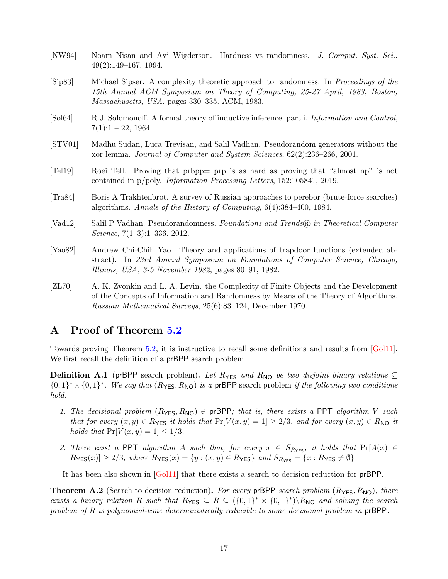- <span id="page-17-1"></span>[NW94] Noam Nisan and Avi Wigderson. Hardness vs randomness. J. Comput. Syst. Sci., 49(2):149–167, 1994.
- <span id="page-17-6"></span>[Sip83] Michael Sipser. A complexity theoretic approach to randomness. In Proceedings of the 15th Annual ACM Symposium on Theory of Computing, 25-27 April, 1983, Boston, Massachusetts, USA, pages 330–335. ACM, 1983.
- <span id="page-17-3"></span>[Sol64] R.J. Solomonoff. A formal theory of inductive inference. part i. Information and Control,  $7(1):1 - 22, 1964.$
- <span id="page-17-9"></span>[STV01] Madhu Sudan, Luca Trevisan, and Salil Vadhan. Pseudorandom generators without the xor lemma. Journal of Computer and System Sciences, 62(2):236–266, 2001.
- <span id="page-17-2"></span>[Tel19] Roei Tell. Proving that prbpp= prp is as hard as proving that "almost np" is not contained in p/poly. Information Processing Letters, 152:105841, 2019.
- <span id="page-17-5"></span>[Tra84] Boris A Trakhtenbrot. A survey of Russian approaches to perebor (brute-force searches) algorithms. Annals of the History of Computing, 6(4):384–400, 1984.
- <span id="page-17-8"></span>[Vad12] Salil P Vadhan. Pseudorandomness. Foundations and Trends R in Theoretical Computer Science, 7(1–3):1–336, 2012.
- <span id="page-17-0"></span>[Yao82] Andrew Chi-Chih Yao. Theory and applications of trapdoor functions (extended abstract). In 23rd Annual Symposium on Foundations of Computer Science, Chicago, Illinois, USA, 3-5 November 1982, pages 80–91, 1982.
- <span id="page-17-4"></span>[ZL70] A. K. Zvonkin and L. A. Levin. the Complexity of Finite Objects and the Development of the Concepts of Information and Randomness by Means of the Theory of Algorithms. Russian Mathematical Surveys, 25(6):83–124, December 1970.

# <span id="page-17-7"></span>A Proof of Theorem [5.2](#page-9-1)

Towards proving Theorem [5.2,](#page-9-1) it is instructive to recall some definitions and results from [\[Gol11\]](#page-16-4). We first recall the definition of a prBPP search problem.

<span id="page-17-10"></span>**Definition A.1** (prBPP search problem). Let  $R_{\text{YES}}$  and  $R_{\text{NO}}$  be two disjoint binary relations  $\subseteq$  $\{0,1\}^* \times \{0,1\}^*$ . We say that  $(R_{\text{YES}}, R_{\text{NO}})$  is a prBPP search problem if the following two conditions hold.

- 1. The decisional problem  $(R_{\text{YES}}, R_{\text{NO}}) \in \text{prBPP}$ ; that is, there exists a PPT algorithm V such that for every  $(x, y) \in R_{\text{YES}}$  it holds that  $Pr[V(x, y) = 1] \ge 2/3$ , and for every  $(x, y) \in R_{\text{NO}}$  it holds that  $Pr[V(x, y) = 1] \leq 1/3$ .
- 2. There exist a PPT algorithm A such that, for every  $x \in S_{R_{\text{YES}}}$ , it holds that  $Pr[A(x) \in S_{R_{\text{C}}}]$  $R_{\text{YES}}(x) \geq 2/3$ , where  $R_{\text{YES}}(x) = \{y : (x, y) \in R_{\text{YES}}\}$  and  $S_{R_{\text{YES}}} = \{x : R_{\text{YES}} \neq \emptyset\}$

It has been also shown in [\[Gol11\]](#page-16-4) that there exists a search to decision reduction for prBPP.

<span id="page-17-11"></span>**Theorem A.2** (Search to decision reduction). For every prBPP search problem  $(R_{\text{YES}}, R_{\text{NO}})$ , there exists a binary relation R such that  $R_{\text{YES}} \subseteq R \subseteq (\{0,1\}^* \times \{0,1\}^*) \setminus R_{\text{NO}}$  and solving the search problem of R is polynomial-time deterministically reducible to some decisional problem in prBPP.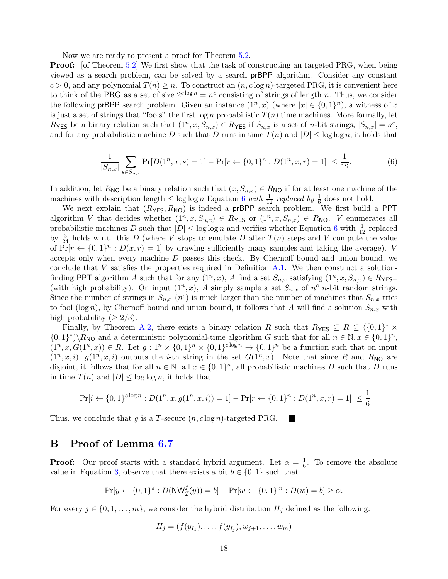Now we are ready to present a proof for Theorem [5.2.](#page-9-1)

**Proof:** [of Theorem [5.2\]](#page-9-1) We first show that the task of constructing an targeted PRG, when being viewed as a search problem, can be solved by a search prBPP algorithm. Consider any constant  $c > 0$ , and any polynomial  $T(n) \geq n$ . To construct an  $(n, c \log n)$ -targeted PRG, it is convenient here to think of the PRG as a set of size  $2^{c \log n} = n^c$  consisting of strings of length n. Thus, we consider the following prBPP search problem. Given an instance  $(1^n, x)$  (where  $|x| \in \{0, 1\}^n$ ), a witness of x is just a set of strings that "fools" the first  $\log n$  probabilistic  $T(n)$  time machines. More formally, let R<sub>YES</sub> be a binary relation such that  $(1^n, x, S_{n,x}) \in R_{\text{YES}}$  if  $S_{n,x}$  is a set of *n*-bit strings,  $|S_{n,x}| = n^c$ , and for any probabilistic machine D such that D runs in time  $T(n)$  and  $|D| \leq \log \log n$ , it holds that

<span id="page-18-1"></span>
$$
\left| \frac{1}{|S_{n,x}|} \sum_{s \in S_{n,x}} \Pr[D(1^n, x, s) = 1] - \Pr[r \leftarrow \{0, 1\}^n : D(1^n, x, r) = 1] \right| \le \frac{1}{12}.
$$
 (6)

In addition, let  $R_{\text{NO}}$  be a binary relation such that  $(x, S_{n,x}) \in R_{\text{NO}}$  if for at least one machine of the machines with description length  $\leq \log \log n$  Equation [6](#page-18-1) with  $\frac{1}{12}$  replaced by  $\frac{1}{6}$  does not hold.

We next explain that  $(R_{\text{YES}}, R_{\text{NO}})$  is indeed a prBPP search problem. We first build a PPT algorithm V that decides whether  $(1^n, x, S_{n,x}) \in R_{\text{YES}}$  or  $(1^n, x, S_{n,x}) \in R_{\text{NO}}$ . V enumerates all probabilistic machines D such that  $|D| \leq \log \log n$  and verifies whether Equation [6](#page-18-1) with  $\frac{1}{12}$  replaced by  $\frac{3}{24}$  holds w.r.t. this D (where V stops to emulate D after  $T(n)$  steps and V compute the value of  $\Pr[r \leftarrow \{0,1\}^n : D(x,r) = 1]$  by drawing sufficiently many samples and taking the average). V accepts only when every machine D passes this check. By Chernoff bound and union bound, we conclude that V satisfies the properties required in Definition  $A.1$ . We then construct a solutionfinding PPT algorithm A such that for any  $(1^n, x)$ , A find a set  $S_{n,x}$  satisfying  $(1^n, x, S_{n,x}) \in R_{\text{YES}-}$ (with high probability). On input  $(1^n, x)$ , A simply sample a set  $S_{n,x}$  of  $n^c$  n-bit random strings. Since the number of strings in  $S_{n,x}$  (*n<sup>c</sup>*) is much larger than the number of machines that  $S_{n,x}$  tries to fool (log n), by Chernoff bound and union bound, it follows that A will find a solution  $S_{n,x}$  with high probability ( $\geq 2/3$ ).

Finally, by Theorem [A.2,](#page-17-11) there exists a binary relation R such that  $R_{\text{YES}} \subseteq R \subseteq (\{0,1\}^* \times$  $\{0,1\}^*\setminus R_{\text{NO}}$  and a deterministic polynomial-time algorithm G such that for all  $n \in \mathbb{N}, x \in \{0,1\}^n$ ,  $(1^n, x, G(1^n, x)) \in R$ . Let  $g: 1^n \times \{0, 1\}^n \times \{0, 1\}^{c \log n} \to \{0, 1\}^n$  be a function such that on input  $(1^n, x, i)$ ,  $g(1^n, x, i)$  outputs the *i*-th string in the set  $G(1^n, x)$ . Note that since R and R<sub>NO</sub> are disjoint, it follows that for all  $n \in \mathbb{N}$ , all  $x \in \{0,1\}^n$ , all probabilistic machines D such that D runs in time  $T(n)$  and  $|D| \leq \log \log n$ , it holds that

$$
\left| \Pr[i \leftarrow \{0, 1\}^{c \log n} : D(1^n, x, g(1^n, x, i)) = 1] - \Pr[r \leftarrow \{0, 1\}^n : D(1^n, x, r) = 1] \right| \le \frac{1}{6}
$$

Thus, we conclude that g is a T-secure  $(n, c \log n)$ -targeted PRG.

# <span id="page-18-0"></span>B Proof of Lemma [6.7](#page-11-0)

**Proof:** Our proof starts with a standard hybrid argument. Let  $\alpha = \frac{1}{6}$  $\frac{1}{6}$ . To remove the absolute value in Equation [3,](#page-12-0) observe that there exists a bit  $b \in \{0, 1\}$  such that

$$
\Pr[y \leftarrow \{0, 1\}^d : D(\text{NW}^f_{\mathcal{I}}(y)) = b] - \Pr[w \leftarrow \{0, 1\}^m : D(w) = b] \ge \alpha.
$$

For every  $j \in \{0, 1, \ldots, m\}$ , we consider the hybrid distribution  $H_j$  defined as the following:

$$
H_j = (f(y_{I_1}), \ldots, f(y_{I_j}), w_{j+1}, \ldots, w_m)
$$